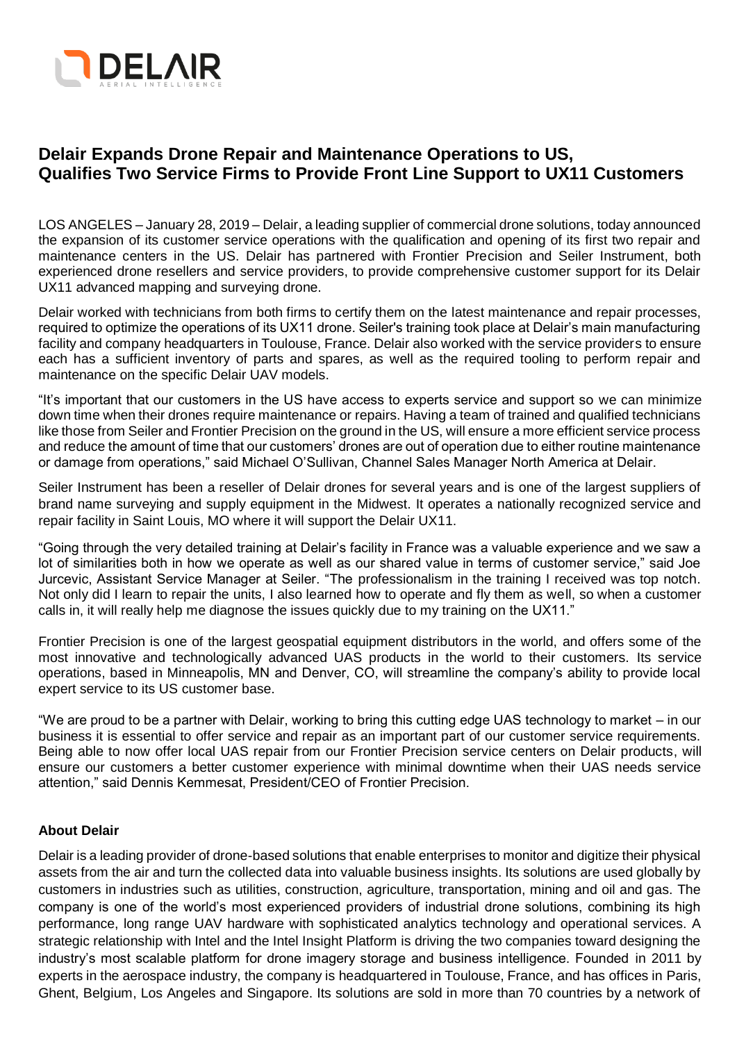

# **Delair Expands Drone Repair and Maintenance Operations to US, Qualifies Two Service Firms to Provide Front Line Support to UX11 Customers**

LOS ANGELES – January 28, 2019 – Delair, a leading supplier of commercial drone solutions, today announced the expansion of its customer service operations with the qualification and opening of its first two repair and maintenance centers in the US. Delair has partnered with Frontier Precision and Seiler Instrument, both experienced drone resellers and service providers, to provide comprehensive customer support for its Delair UX11 advanced mapping and surveying drone.

Delair worked with technicians from both firms to certify them on the latest maintenance and repair processes, required to optimize the operations of its UX11 drone. Seiler's training took place at Delair's main manufacturing facility and company headquarters in Toulouse, France. Delair also worked with the service providers to ensure each has a sufficient inventory of parts and spares, as well as the required tooling to perform repair and maintenance on the specific Delair UAV models.

"It's important that our customers in the US have access to experts service and support so we can minimize down time when their drones require maintenance or repairs. Having a team of trained and qualified technicians like those from Seiler and Frontier Precision on the ground in the US, will ensure a more efficient service process and reduce the amount of time that our customers' drones are out of operation due to either routine maintenance or damage from operations," said Michael O'Sullivan, Channel Sales Manager North America at Delair.

Seiler Instrument has been a reseller of Delair drones for several years and is one of the largest suppliers of brand name surveying and supply equipment in the Midwest. It operates a nationally recognized service and repair facility in Saint Louis, MO where it will support the Delair UX11.

"Going through the very detailed training at Delair's facility in France was a valuable experience and we saw a lot of similarities both in how we operate as well as our shared value in terms of customer service," said Joe Jurcevic, Assistant Service Manager at Seiler. "The professionalism in the training I received was top notch. Not only did I learn to repair the units, I also learned how to operate and fly them as well, so when a customer calls in, it will really help me diagnose the issues quickly due to my training on the UX11."

Frontier Precision is one of the largest geospatial equipment distributors in the world, and offers some of the most innovative and technologically advanced UAS products in the world to their customers. Its service operations, based in Minneapolis, MN and Denver, CO, will streamline the company's ability to provide local expert service to its US customer base.

"We are proud to be a partner with Delair, working to bring this cutting edge UAS technology to market – in our business it is essential to offer service and repair as an important part of our customer service requirements. Being able to now offer local UAS repair from our Frontier Precision service centers on Delair products, will ensure our customers a better customer experience with minimal downtime when their UAS needs service attention," said Dennis Kemmesat, President/CEO of Frontier Precision.

## **About Delair**

Delair is a leading provider of drone-based solutions that enable enterprises to monitor and digitize their physical assets from the air and turn the collected data into valuable business insights. Its solutions are used globally by customers in industries such as utilities, construction, agriculture, transportation, mining and oil and gas. The company is one of the world's most experienced providers of industrial drone solutions, combining its high performance, long range UAV hardware with sophisticated analytics technology and operational services. A strategic relationship with Intel and the Intel Insight Platform is driving the two companies toward designing the industry's most scalable platform for drone imagery storage and business intelligence. Founded in 2011 by experts in the aerospace industry, the company is headquartered in Toulouse, France, and has offices in Paris, Ghent, Belgium, Los Angeles and Singapore. Its solutions are sold in more than 70 countries by a network of